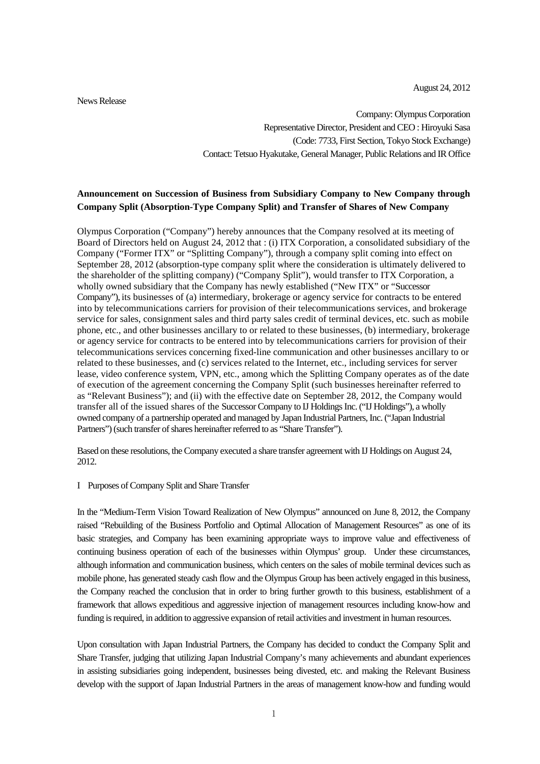August 24, 2012

News Release

Company: Olympus Corporation Representative Director, President and CEO : Hiroyuki Sasa (Code: 7733, First Section, Tokyo Stock Exchange) Contact: Tetsuo Hyakutake, General Manager, Public Relations and IR Office

## **Announcement on Succession of Business from Subsidiary Company to New Company through Company Split (Absorption-Type Company Split) and Transfer of Shares of New Company**

Olympus Corporation ("Company") hereby announces that the Company resolved at its meeting of Board of Directors held on August 24, 2012 that : (i) ITX Corporation, a consolidated subsidiary of the Company ("Former ITX" or "Splitting Company"), through a company split coming into effect on September 28, 2012 (absorption-type company split where the consideration is ultimately delivered to the shareholder of the splitting company) ("Company Split"), would transfer to ITX Corporation, a wholly owned subsidiary that the Company has newly established ("New ITX" or "Successor Company"), its businesses of (a) intermediary, brokerage or agency service for contracts to be entered into by telecommunications carriers for provision of their telecommunications services, and brokerage service for sales, consignment sales and third party sales credit of terminal devices, etc. such as mobile phone, etc., and other businesses ancillary to or related to these businesses, (b) intermediary, brokerage or agency service for contracts to be entered into by telecommunications carriers for provision of their telecommunications services concerning fixed-line communication and other businesses ancillary to or related to these businesses, and (c) services related to the Internet, etc., including services for server lease, video conference system, VPN, etc., among which the Splitting Company operates as of the date of execution of the agreement concerning the Company Split (such businesses hereinafter referred to as "Relevant Business"); and (ii) with the effective date on September 28, 2012, the Company would transfer all of the issued shares of the Successor Company to IJ Holdings Inc. ("IJ Holdings"), a wholly owned company of a partnership operated and managed by Japan Industrial Partners, Inc. ("Japan Industrial Partners") (such transfer of shares hereinafter referred to as "Share Transfer").

Based on these resolutions, the Company executed a share transfer agreement with IJ Holdings on August 24, 2012.

#### I Purposes of Company Split and Share Transfer

In the "Medium-Term Vision Toward Realization of New Olympus" announced on June 8, 2012, the Company raised "Rebuilding of the Business Portfolio and Optimal Allocation of Management Resources" as one of its basic strategies, and Company has been examining appropriate ways to improve value and effectiveness of continuing business operation of each of the businesses within Olympus' group. Under these circumstances, although information and communication business, which centers on the sales of mobile terminal devices such as mobile phone, has generated steady cash flow and the Olympus Group has been actively engaged in this business, the Company reached the conclusion that in order to bring further growth to this business, establishment of a framework that allows expeditious and aggressive injection of management resources including know-how and funding is required, in addition to aggressive expansion of retail activities and investment in human resources.

Upon consultation with Japan Industrial Partners, the Company has decided to conduct the Company Split and Share Transfer, judging that utilizing Japan Industrial Company's many achievements and abundant experiences in assisting subsidiaries going independent, businesses being divested, etc. and making the Relevant Business develop with the support of Japan Industrial Partners in the areas of management know-how and funding would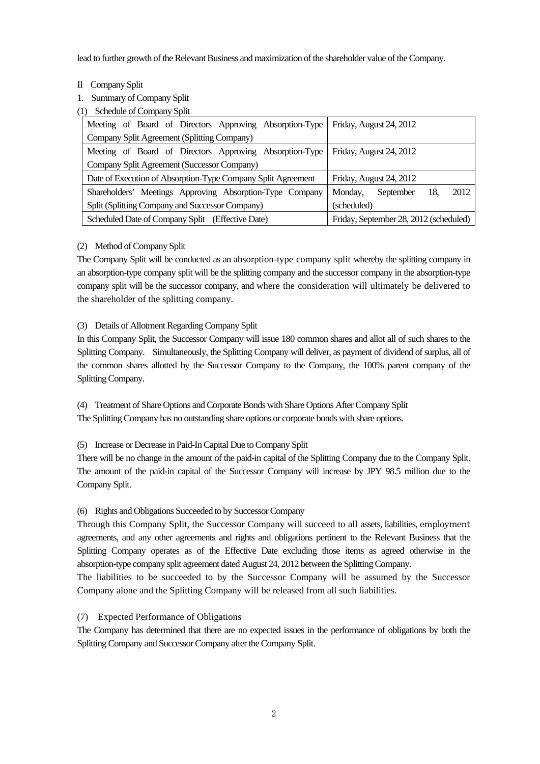lead to further growth of the Relevant Business and maximization of the shareholder value of the Company.

### II Company Split

1. Summary of Company Split

(1) Schedule of Company Split

| Meeting of Board of Directors Approving Absorption-Type      | Friday, August 24, 2012                |
|--------------------------------------------------------------|----------------------------------------|
| Company Split Agreement (Splitting Company)                  |                                        |
| Meeting of Board of Directors Approving Absorption-Type      | Friday, August 24, 2012                |
| Company Split Agreement (Successor Company)                  |                                        |
| Date of Execution of Absorption-Type Company Split Agreement | Friday, August 24, 2012                |
| Shareholders' Meetings Approving Absorption-Type Company     | 2012<br>Monday,<br>18<br>September     |
| Split (Splitting Company and Successor Company)              | (scheduled)                            |
| Scheduled Date of Company Split (Effective Date)             | Friday, September 28, 2012 (scheduled) |

## (2) Method of Company Split

The Company Split will be conducted as an absorption-type company split whereby the splitting company in an absorption-type company split will be the splitting company and the successor company in the absorption-type company split will be the successor company, and where the consideration will ultimately be delivered to the shareholder of the splitting company.

## (3) Details of Allotment Regarding Company Split

In this Company Split, the Successor Company will issue 180 common shares and allot all of such shares to the Splitting Company. Simultaneously, the Splitting Company will deliver, as payment of dividend of surplus, all of the common shares allotted by the Successor Company to the Company, the 100% parent company of the Splitting Company.

(4) Treatment of Share Options and Corporate Bonds with Share Options After Company Split The Splitting Company has no outstanding share options or corporate bonds with share options.

## (5) Increase or Decrease in Paid-In Capital Due to Company Split

There will be no change in the amount of the paid-in capital of the Splitting Company due to the Company Split. The amount of the paid-in capital of the Successor Company will increase by JPY 98.5 million due to the Company Split.

## (6) Rights and Obligations Succeeded to by Successor Company

Through this Company Split, the Successor Company will succeed to all assets, liabilities, employment agreements, and any other agreements and rights and obligations pertinent to the Relevant Business that the Splitting Company operates as of the Effective Date excluding those items as agreed otherwise in the absorption-type company split agreement dated August 24, 2012 between the Splitting Company.

The liabilities to be succeeded to by the Successor Company will be assumed by the Successor Company alone and the Splitting Company will be released from all such liabilities.

## (7) Expected Performance of Obligations

The Company has determined that there are no expected issues in the performance of obligations by both the Splitting Company and Successor Company after the Company Split.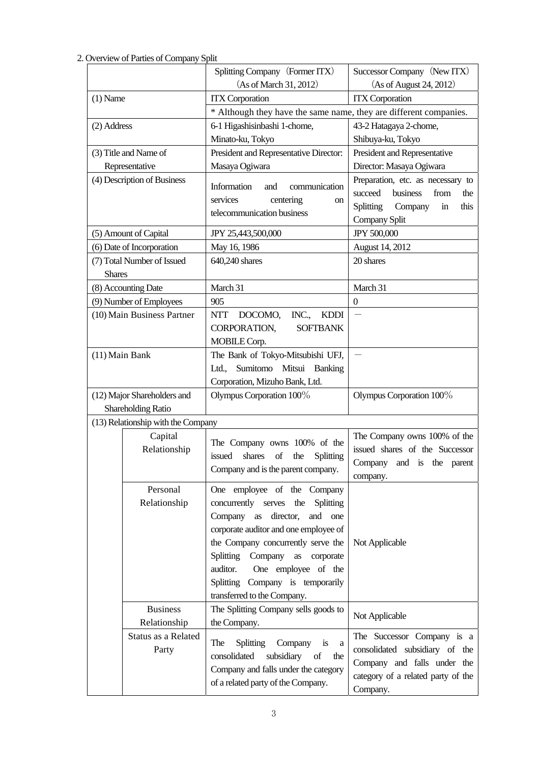## 2. Overview of Parties of Company Split

|                |                                                   | Splitting Company (Former ITX)                                                   | Successor Company (New ITX)        |  |
|----------------|---------------------------------------------------|----------------------------------------------------------------------------------|------------------------------------|--|
|                |                                                   | (As of March 31, 2012)                                                           | (As of August 24, 2012)            |  |
| $(1)$ Name     |                                                   | <b>ITX</b> Corporation                                                           | <b>ITX</b> Corporation             |  |
|                |                                                   | * Although they have the same name, they are different companies.                |                                    |  |
| (2) Address    |                                                   | 6-1 Higashisinbashi 1-chome,                                                     | 43-2 Hatagaya 2-chome,             |  |
|                |                                                   | Minato-ku, Tokyo                                                                 | Shibuya-ku, Tokyo                  |  |
|                | (3) Title and Name of                             | President and Representative Director:                                           | President and Representative       |  |
|                | Representative                                    | Masaya Ogiwara                                                                   | Director: Masaya Ogiwara           |  |
|                | (4) Description of Business                       | Information<br>communication<br>and                                              | Preparation, etc. as necessary to  |  |
|                |                                                   | services<br>centering<br>on                                                      | business<br>from<br>succeed<br>the |  |
|                |                                                   | telecommunication business                                                       | Splitting<br>Company<br>this<br>in |  |
|                |                                                   |                                                                                  | Company Split                      |  |
|                | (5) Amount of Capital                             | JPY 25,443,500,000                                                               | JPY 500,000                        |  |
|                | (6) Date of Incorporation                         | May 16, 1986                                                                     | August 14, 2012                    |  |
| <b>Shares</b>  | (7) Total Number of Issued                        | 640,240 shares                                                                   | 20 shares                          |  |
|                | (8) Accounting Date                               | March 31                                                                         | March 31                           |  |
|                | (9) Number of Employees                           | 905                                                                              | $\Omega$                           |  |
|                | (10) Main Business Partner                        | NTT DOCOMO,<br>INC.,<br><b>KDDI</b>                                              |                                    |  |
|                |                                                   | CORPORATION,<br><b>SOFTBANK</b>                                                  |                                    |  |
|                |                                                   | MOBILE Corp.                                                                     |                                    |  |
| (11) Main Bank |                                                   | The Bank of Tokyo-Mitsubishi UFJ,                                                |                                    |  |
|                |                                                   | Sumitomo Mitsui Banking<br>Ltd.,                                                 |                                    |  |
|                |                                                   | Corporation, Mizuho Bank, Ltd.                                                   |                                    |  |
|                | (12) Major Shareholders and<br>Shareholding Ratio | Olympus Corporation 100%                                                         | Olympus Corporation 100%           |  |
|                | (13) Relationship with the Company                |                                                                                  |                                    |  |
|                | Capital                                           |                                                                                  | The Company owns 100% of the       |  |
|                | Relationship                                      | The Company owns 100% of the                                                     | issued shares of the Successor     |  |
|                |                                                   | shares<br>of<br>issued<br>the<br>Splitting<br>Company and is the parent company. | Company and is the parent          |  |
|                |                                                   |                                                                                  | company.                           |  |
|                | Personal                                          | One employee of the Company                                                      |                                    |  |
|                | Relationship                                      | concurrently serves the<br><b>Splitting</b>                                      |                                    |  |
|                |                                                   | director,<br>Company as<br>and<br>one                                            |                                    |  |
|                |                                                   | corporate auditor and one employee of                                            |                                    |  |
|                |                                                   | the Company concurrently serve the                                               | Not Applicable                     |  |
|                |                                                   | Splitting Company<br>as corporate                                                |                                    |  |
|                |                                                   | auditor.<br>One employee of the                                                  |                                    |  |
|                |                                                   | Splitting Company is temporarily                                                 |                                    |  |
|                | <b>Business</b>                                   | transferred to the Company.<br>The Splitting Company sells goods to              |                                    |  |
|                | Relationship                                      | the Company.                                                                     | Not Applicable                     |  |
|                | Status as a Related                               |                                                                                  | The Successor Company is a         |  |
|                | Party                                             | Company<br>The<br><b>Splitting</b><br>is a                                       | consolidated subsidiary of the     |  |
|                |                                                   | subsidiary<br>consolidated<br>of<br>the                                          | Company and falls under the        |  |
|                |                                                   | Company and falls under the category<br>of a related party of the Company.       | category of a related party of the |  |
|                |                                                   |                                                                                  | Company.                           |  |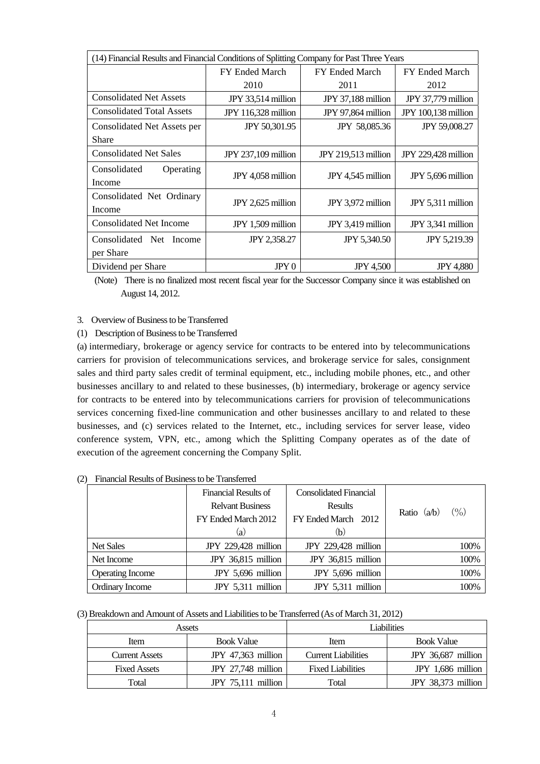| (14) Financial Results and Financial Conditions of Splitting Company for Past Three Years |                            |                       |                      |  |
|-------------------------------------------------------------------------------------------|----------------------------|-----------------------|----------------------|--|
|                                                                                           | FY Ended March             | <b>FY Ended March</b> | FY Ended March       |  |
|                                                                                           | 2010                       | 2011                  | 2012                 |  |
| <b>Consolidated Net Assets</b>                                                            | JPY 33,514 million         | JPY 37,188 million    | JPY 37,779 million   |  |
| <b>Consolidated Total Assets</b>                                                          | <b>JPY</b> 116,328 million | JPY 97,864 million    | JPY 100,138 million  |  |
| Consolidated Net Assets per                                                               | JPY 50,301.95              | JPY 58,085.36         | <b>JPY 59,008.27</b> |  |
| Share                                                                                     |                            |                       |                      |  |
| <b>Consolidated Net Sales</b>                                                             | <b>JPY 237,109 million</b> | JPY 219,513 million   | JPY 229,428 million  |  |
| Consolidated<br>Operating<br>Income                                                       | JPY 4,058 million          | JPY 4,545 million     | JPY 5,696 million    |  |
| Consolidated Net Ordinary<br>Income                                                       | JPY 2,625 million          | JPY 3,972 million     | JPY 5,311 million    |  |
| <b>Consolidated Net Income</b>                                                            | JPY 1,509 million          | JPY 3,419 million     | JPY 3,341 million    |  |
| Consolidated Net Income                                                                   | JPY 2,358.27               | <b>JPY 5,340.50</b>   | JPY 5,219.39         |  |
| per Share                                                                                 |                            |                       |                      |  |
| Dividend per Share                                                                        | JPY <sub>0</sub>           | <b>JPY 4,500</b>      | <b>JPY 4,880</b>     |  |

(Note) There is no finalized most recent fiscal year for the Successor Company since it was established on August 14, 2012.

### 3. Overview of Business to be Transferred

### (1) Description of Business to be Transferred

(a) intermediary, brokerage or agency service for contracts to be entered into by telecommunications carriers for provision of telecommunications services, and brokerage service for sales, consignment sales and third party sales credit of terminal equipment, etc., including mobile phones, etc., and other businesses ancillary to and related to these businesses, (b) intermediary, brokerage or agency service for contracts to be entered into by telecommunications carriers for provision of telecommunications services concerning fixed-line communication and other businesses ancillary to and related to these businesses, and (c) services related to the Internet, etc., including services for server lease, video conference system, VPN, etc., among which the Splitting Company operates as of the date of execution of the agreement concerning the Company Split.

|                         | Financial Results of    | <b>Consolidated Financial</b> |               |
|-------------------------|-------------------------|-------------------------------|---------------|
|                         | <b>Relyant Business</b> | <b>Results</b>                | (0/0)         |
|                         | FY Ended March 2012     | FY Ended March 2012           | Ratio $(a/b)$ |
|                         | (a)                     | (b)                           |               |
| <b>Net Sales</b>        | JPY 229,428 million     | JPY 229,428 million           | 100%          |
| Net Income              | JPY 36,815 million      | JPY 36,815 million            | 100%          |
| <b>Operating Income</b> | JPY 5,696 million       | JPY 5,696 million             | 100%          |
| Ordinary Income         | JPY 5,311 million       | JPY 5,311 million             | 100%          |

(2) Financial Results of Business to be Transferred

### (3) Breakdown and Amount of Assets and Liabilities to be Transferred (As of March 31, 2012)

|                           | Assets               | Liabilities                |                     |  |
|---------------------------|----------------------|----------------------------|---------------------|--|
| <b>Book Value</b><br>Item |                      | Item                       | <b>Book Value</b>   |  |
| <b>Current Assets</b>     | JPY $47,363$ million | <b>Current Liabilities</b> | JPY 36,687 million  |  |
| <b>Fixed Assets</b>       | JPY $27,748$ million |                            | $JPY$ 1,686 million |  |
| Total                     | JPY $75,111$ million | Total                      | JPY 38,373 million  |  |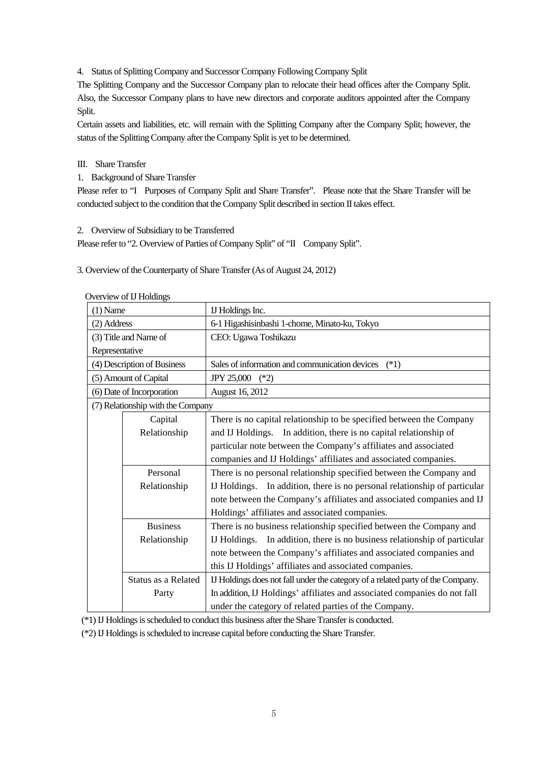4. Status of Splitting Company and Successor Company Following Company Split

The Splitting Company and the Successor Company plan to relocate their head offices after the Company Split. Also, the Successor Company plans to have new directors and corporate auditors appointed after the Company Split.

Certain assets and liabilities, etc. will remain with the Splitting Company after the Company Split; however, the status of the Splitting Company after the Company Split is yet to be determined.

### III. Share Transfer

1. Background of Share Transfer

Please refer to "I Purposes of Company Split and Share Transfer". Please note that the Share Transfer will be conducted subject to the condition that the Company Split described in section II takes effect.

2. Overview of Subsidiary to be Transferred

Please refer to "2. Overview of Parties of Company Split" of "II Company Split".

3. Overview of the Counterparty of Share Transfer (As of August 24, 2012)

|                     | OVERVIEW OF 1J HORNINGS                                            |                                                                                 |  |
|---------------------|--------------------------------------------------------------------|---------------------------------------------------------------------------------|--|
| $(1)$ Name          |                                                                    | IJ Holdings Inc.                                                                |  |
| (2) Address         |                                                                    | 6-1 Higashisinbashi 1-chome, Minato-ku, Tokyo                                   |  |
|                     | (3) Title and Name of                                              | CEO: Ugawa Toshikazu                                                            |  |
| Representative      |                                                                    |                                                                                 |  |
|                     | (4) Description of Business                                        | Sales of information and communication devices<br>$(*1)$                        |  |
|                     | (5) Amount of Capital                                              | <b>JPY 25,000</b><br>$(*2)$                                                     |  |
|                     | (6) Date of Incorporation                                          | August 16, 2012                                                                 |  |
|                     | (7) Relationship with the Company                                  |                                                                                 |  |
|                     | Capital                                                            | There is no capital relationship to be specified between the Company            |  |
|                     | Relationship                                                       | and IJ Holdings. In addition, there is no capital relationship of               |  |
|                     |                                                                    | particular note between the Company's affiliates and associated                 |  |
|                     |                                                                    | companies and IJ Holdings' affiliates and associated companies.                 |  |
| Personal            |                                                                    | There is no personal relationship specified between the Company and             |  |
|                     | Relationship                                                       | IJ Holdings. In addition, there is no personal relationship of particular       |  |
|                     |                                                                    | note between the Company's affiliates and associated companies and IJ           |  |
|                     |                                                                    | Holdings' affiliates and associated companies.                                  |  |
|                     | <b>Business</b>                                                    | There is no business relationship specified between the Company and             |  |
|                     | Relationship                                                       | IJ Holdings. In addition, there is no business relationship of particular       |  |
|                     | note between the Company's affiliates and associated companies and |                                                                                 |  |
|                     |                                                                    | this IJ Holdings' affiliates and associated companies.                          |  |
| Status as a Related |                                                                    | IJ Holdings does not fall under the category of a related party of the Company. |  |
| Party               |                                                                    | In addition, IJ Holdings' affiliates and associated companies do not fall       |  |
|                     |                                                                    | under the category of related parties of the Company.                           |  |

Overview of IJ Holdings

(\*1) IJ Holdings is scheduled to conduct this business after the Share Transfer is conducted.

(\*2) IJ Holdings is scheduled to increase capital before conducting the Share Transfer.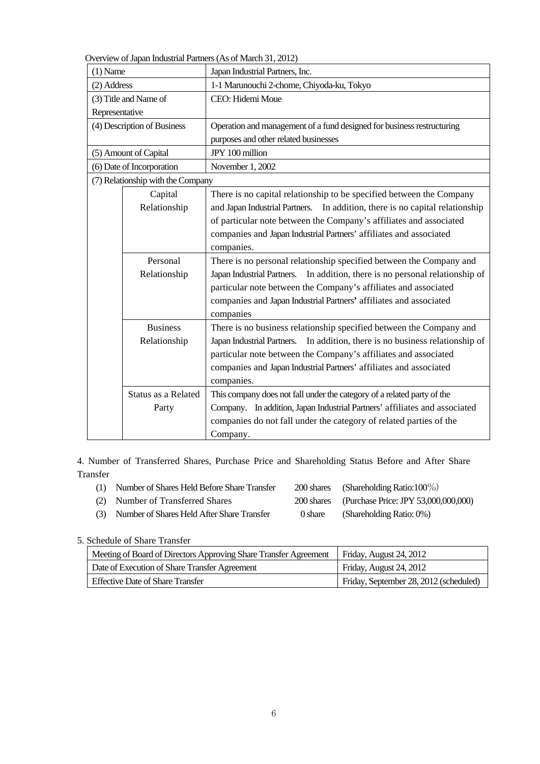Overview of Japan Industrial Partners (As of March 31, 2012)

| $(1)$ Name                   |                                   | Japan Industrial Partners, Inc.                                              |  |  |
|------------------------------|-----------------------------------|------------------------------------------------------------------------------|--|--|
| (2) Address                  |                                   | 1-1 Marunouchi 2-chome, Chiyoda-ku, Tokyo                                    |  |  |
|                              | (3) Title and Name of             | CEO: Hidemi Moue                                                             |  |  |
| Representative               |                                   |                                                                              |  |  |
|                              | (4) Description of Business       | Operation and management of a fund designed for business restructuring       |  |  |
|                              |                                   | purposes and other related businesses                                        |  |  |
|                              | (5) Amount of Capital             | JPY 100 million                                                              |  |  |
|                              | (6) Date of Incorporation         | November 1, 2002                                                             |  |  |
|                              | (7) Relationship with the Company |                                                                              |  |  |
|                              | Capital                           | There is no capital relationship to be specified between the Company         |  |  |
|                              | Relationship                      | and Japan Industrial Partners. In addition, there is no capital relationship |  |  |
|                              |                                   | of particular note between the Company's affiliates and associated           |  |  |
|                              |                                   | companies and Japan Industrial Partners' affiliates and associated           |  |  |
|                              |                                   | companies.                                                                   |  |  |
| Personal                     |                                   | There is no personal relationship specified between the Company and          |  |  |
| Relationship                 |                                   | Japan Industrial Partners. In addition, there is no personal relationship of |  |  |
|                              |                                   | particular note between the Company's affiliates and associated              |  |  |
|                              |                                   | companies and Japan Industrial Partners' affiliates and associated           |  |  |
|                              |                                   | companies                                                                    |  |  |
|                              | <b>Business</b>                   | There is no business relationship specified between the Company and          |  |  |
|                              | Relationship                      | Japan Industrial Partners. In addition, there is no business relationship of |  |  |
|                              |                                   | particular note between the Company's affiliates and associated              |  |  |
|                              |                                   | companies and Japan Industrial Partners' affiliates and associated           |  |  |
|                              |                                   | companies.                                                                   |  |  |
| Status as a Related<br>Party |                                   | This company does not fall under the category of a related party of the      |  |  |
|                              |                                   | Company. In addition, Japan Industrial Partners' affiliates and associated   |  |  |
|                              |                                   | companies do not fall under the category of related parties of the           |  |  |
|                              |                                   | Company.                                                                     |  |  |

4. Number of Transferred Shares, Purchase Price and Shareholding Status Before and After Share Transfer

| (1) Number of Shares Held Before Share Transfer |         | 200 shares (Shareholding Ratio:100\%)           |
|-------------------------------------------------|---------|-------------------------------------------------|
| (2) Number of Transferred Shares                |         | 200 shares (Purchase Price: JPY 53,000,000,000) |
| (3) Number of Shares Held After Share Transfer  | 0 share | (Shareholding Ratio: 0%)                        |

### 5. Schedule of Share Transfer

| Meeting of Board of Directors Approving Share Transfer Agreement | Friday, August 24, 2012                |
|------------------------------------------------------------------|----------------------------------------|
| Date of Execution of Share Transfer Agreement                    | Friday, August 24, 2012                |
| <b>Effective Date of Share Transfer</b>                          | Friday, September 28, 2012 (scheduled) |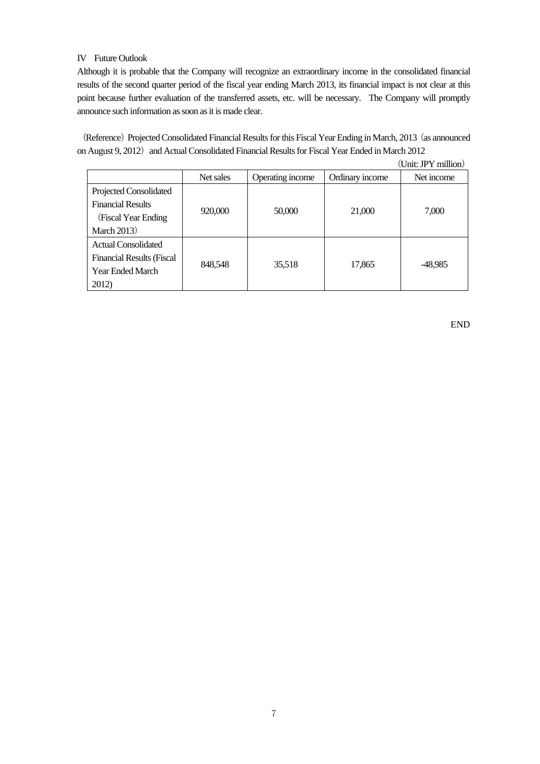### IV Future Outlook

Although it is probable that the Company will recognize an extraordinary income in the consolidated financial results of the second quarter period of the fiscal year ending March 2013, its financial impact is not clear at this point because further evaluation of the transferred assets, etc. will be necessary. The Company will promptly announce such information as soon as it is made clear.

(Reference) Projected Consolidated Financial Results for this Fiscal Year Ending in March, 2013 (as announced on August 9, 2012) and Actual Consolidated Financial Results for Fiscal Year Ended in March 2012

|                                  |           |                  |                 | (Unit: JPY million) |
|----------------------------------|-----------|------------------|-----------------|---------------------|
|                                  | Net sales | Operating income | Ordinary income | Net income          |
| Projected Consolidated           |           |                  |                 |                     |
| <b>Financial Results</b>         |           |                  |                 |                     |
| (Fiscal Year Ending)             | 920,000   | 50,000           | 21,000          | 7,000               |
| <b>March 2013</b> )              |           |                  |                 |                     |
| <b>Actual Consolidated</b>       |           |                  |                 |                     |
| <b>Financial Results (Fiscal</b> |           |                  |                 |                     |
| <b>Year Ended March</b>          | 848,548   | 35,518           | 17,865          | -48,985             |
| 2012)                            |           |                  |                 |                     |

END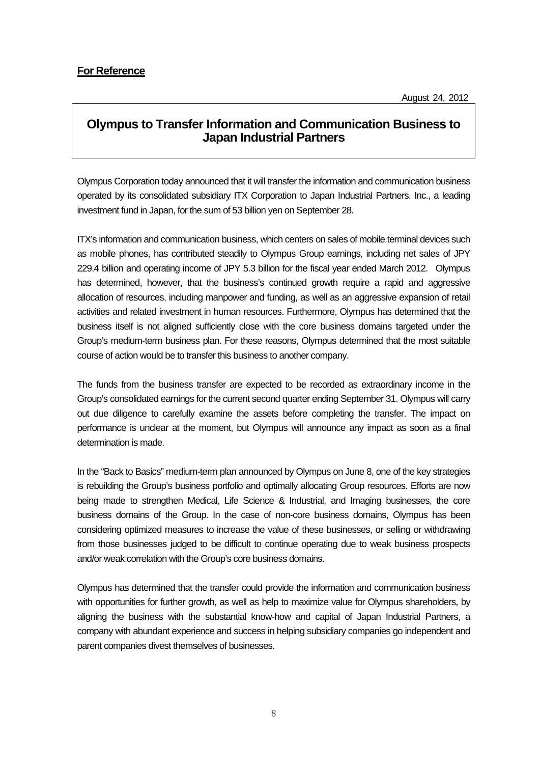# **Olympus to Transfer Information and Communication Business to Japan Industrial Partners**

Olympus Corporation today announced that it will transfer the information and communication business operated by its consolidated subsidiary ITX Corporation to Japan Industrial Partners, Inc., a leading investment fund in Japan, for the sum of 53 billion yen on September 28.

ITX's information and communication business, which centers on sales of mobile terminal devices such as mobile phones, has contributed steadily to Olympus Group earnings, including net sales of JPY 229.4 billion and operating income of JPY 5.3 billion for the fiscal year ended March 2012. Olympus has determined, however, that the business's continued growth require a rapid and aggressive allocation of resources, including manpower and funding, as well as an aggressive expansion of retail activities and related investment in human resources. Furthermore, Olympus has determined that the business itself is not aligned sufficiently close with the core business domains targeted under the Group's medium-term business plan. For these reasons, Olympus determined that the most suitable course of action would be to transfer this business to another company.

The funds from the business transfer are expected to be recorded as extraordinary income in the Group's consolidated earnings for the current second quarter ending September 31. Olympus will carry out due diligence to carefully examine the assets before completing the transfer. The impact on performance is unclear at the moment, but Olympus will announce any impact as soon as a final determination is made.

In the "Back to Basics" medium-term plan announced by Olympus on June 8, one of the key strategies is rebuilding the Group's business portfolio and optimally allocating Group resources. Efforts are now being made to strengthen Medical, Life Science & Industrial, and Imaging businesses, the core business domains of the Group. In the case of non-core business domains, Olympus has been considering optimized measures to increase the value of these businesses, or selling or withdrawing from those businesses judged to be difficult to continue operating due to weak business prospects and/or weak correlation with the Group's core business domains.

Olympus has determined that the transfer could provide the information and communication business with opportunities for further growth, as well as help to maximize value for Olympus shareholders, by aligning the business with the substantial know-how and capital of Japan Industrial Partners, a company with abundant experience and success in helping subsidiary companies go independent and parent companies divest themselves of businesses.